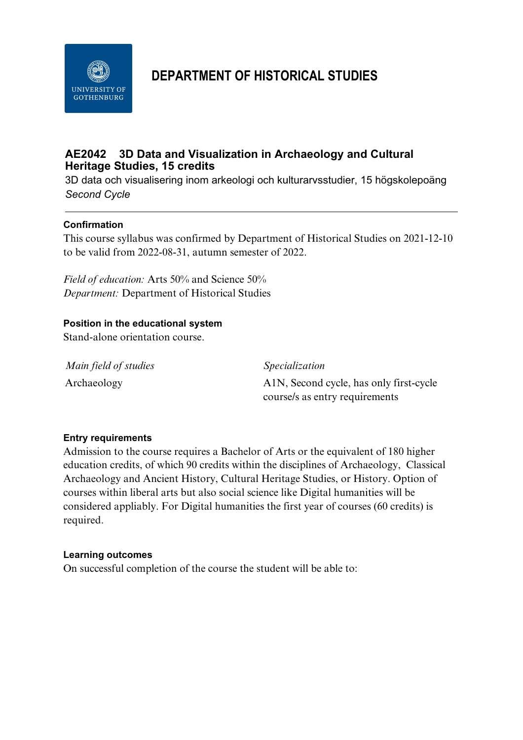

# **DEPARTMENT OF HISTORICAL STUDIES**

## **AE2042 3D Data and Visualization in Archaeology and Cultural Heritage Studies, 15 credits**

3D data och visualisering inom arkeologi och kulturarvsstudier, 15 högskolepoäng *Second Cycle*

## **Confirmation**

This course syllabus was confirmed by Department of Historical Studies on 2021-12-10 to be valid from 2022-08-31, autumn semester of 2022.

*Field of education:* Arts 50% and Science 50% *Department:* Department of Historical Studies

#### **Position in the educational system**

Stand-alone orientation course.

*Main field of studies Specialization*

Archaeology A1N, Second cycle, has only first-cycle course/s as entry requirements

#### **Entry requirements**

Admission to the course requires a Bachelor of Arts or the equivalent of 180 higher education credits, of which 90 credits within the disciplines of Archaeology, Classical Archaeology and Ancient History, Cultural Heritage Studies, or History. Option of courses within liberal arts but also social science like Digital humanities will be considered appliably. For Digital humanities the first year of courses (60 credits) is required.

#### **Learning outcomes**

On successful completion of the course the student will be able to: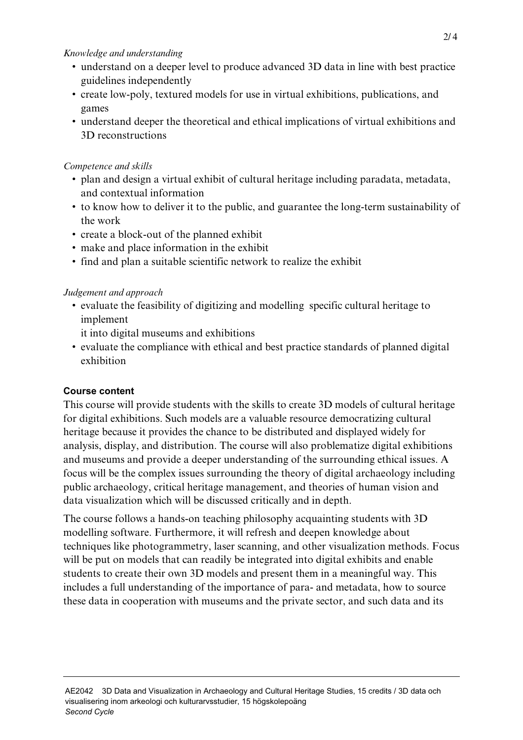#### *Knowledge and understanding*

- understand on a deeper level to produce advanced 3D data in line with best practice guidelines independently
- create low-poly, textured models for use in virtual exhibitions, publications, and games
- understand deeper the theoretical and ethical implications of virtual exhibitions and 3D reconstructions

### *Competence and skills*

- plan and design a virtual exhibit of cultural heritage including paradata, metadata, and contextual information
- to know how to deliver it to the public, and guarantee the long-term sustainability of the work
- create a block-out of the planned exhibit
- make and place information in the exhibit
- find and plan a suitable scientific network to realize the exhibit

## *Judgement and approach*

- evaluate the feasibility of digitizing and modelling specific cultural heritage to implement
	- it into digital museums and exhibitions
- evaluate the compliance with ethical and best practice standards of planned digital exhibition

## **Course content**

This course will provide students with the skills to create 3D models of cultural heritage for digital exhibitions. Such models are a valuable resource democratizing cultural heritage because it provides the chance to be distributed and displayed widely for analysis, display, and distribution. The course will also problematize digital exhibitions and museums and provide a deeper understanding of the surrounding ethical issues. A focus will be the complex issues surrounding the theory of digital archaeology including public archaeology, critical heritage management, and theories of human vision and data visualization which will be discussed critically and in depth.

The course follows a hands-on teaching philosophy acquainting students with 3D modelling software. Furthermore, it will refresh and deepen knowledge about techniques like photogrammetry, laser scanning, and other visualization methods. Focus will be put on models that can readily be integrated into digital exhibits and enable students to create their own 3D models and present them in a meaningful way. This includes a full understanding of the importance of para- and metadata, how to source these data in cooperation with museums and the private sector, and such data and its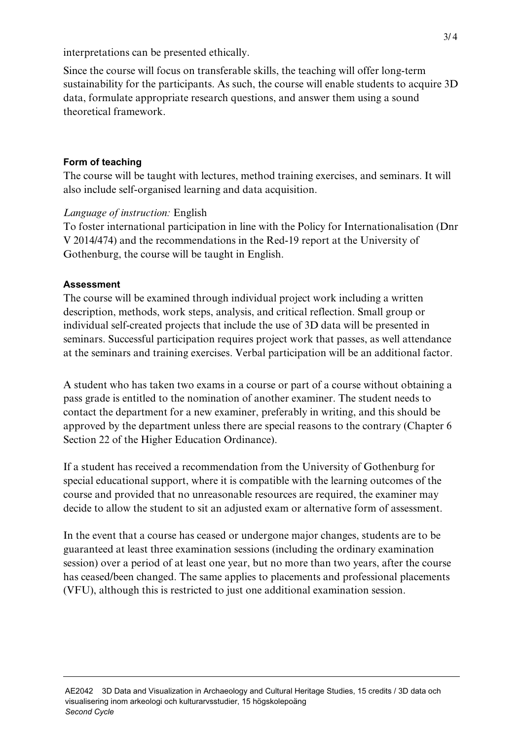interpretations can be presented ethically.

Since the course will focus on transferable skills, the teaching will offer long-term sustainability for the participants. As such, the course will enable students to acquire 3D data, formulate appropriate research questions, and answer them using a sound theoretical framework.

### **Form of teaching**

The course will be taught with lectures, method training exercises, and seminars. It will also include self-organised learning and data acquisition.

## *Language of instruction:* English

To foster international participation in line with the Policy for Internationalisation (Dnr V 2014/474) and the recommendations in the Red-19 report at the University of Gothenburg, the course will be taught in English.

## **Assessment**

The course will be examined through individual project work including a written description, methods, work steps, analysis, and critical reflection. Small group or individual self-created projects that include the use of 3D data will be presented in seminars. Successful participation requires project work that passes, as well attendance at the seminars and training exercises. Verbal participation will be an additional factor.

A student who has taken two exams in a course or part of a course without obtaining a pass grade is entitled to the nomination of another examiner. The student needs to contact the department for a new examiner, preferably in writing, and this should be approved by the department unless there are special reasons to the contrary (Chapter 6 Section 22 of the Higher Education Ordinance).

If a student has received a recommendation from the University of Gothenburg for special educational support, where it is compatible with the learning outcomes of the course and provided that no unreasonable resources are required, the examiner may decide to allow the student to sit an adjusted exam or alternative form of assessment.

In the event that a course has ceased or undergone major changes, students are to be guaranteed at least three examination sessions (including the ordinary examination session) over a period of at least one year, but no more than two years, after the course has ceased/been changed. The same applies to placements and professional placements (VFU), although this is restricted to just one additional examination session.